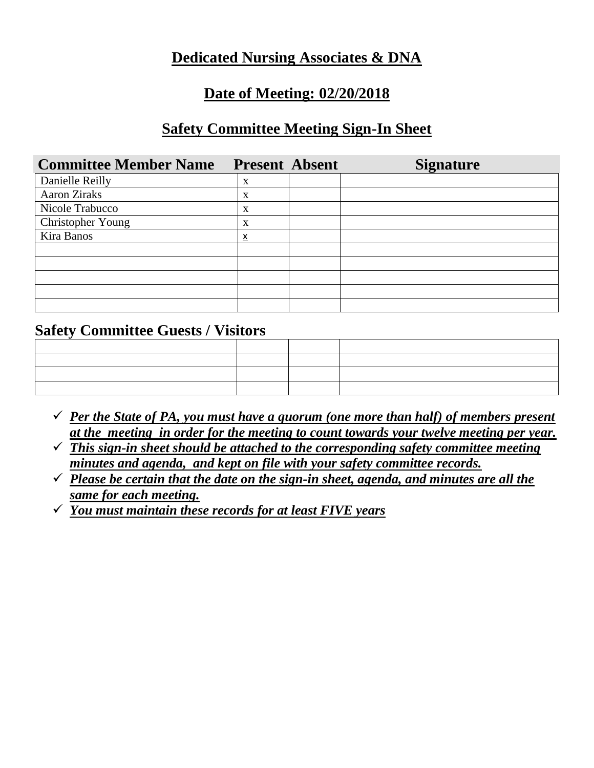## **Dedicated Nursing Associates & DNA**

### **Date of Meeting: 02/20/2018**

#### **Safety Committee Meeting Sign-In Sheet**

| <b>Committee Member Name</b> | <b>Present Absent</b>   | <b>Signature</b> |
|------------------------------|-------------------------|------------------|
| Danielle Reilly              | X                       |                  |
| Aaron Ziraks                 | X                       |                  |
| Nicole Trabucco              | X                       |                  |
| Christopher Young            | X                       |                  |
| Kira Banos                   | $\overline{\mathsf{x}}$ |                  |
|                              |                         |                  |
|                              |                         |                  |
|                              |                         |                  |
|                              |                         |                  |
|                              |                         |                  |

#### **Safety Committee Guests / Visitors**

| ,我们也不会有什么。""我们的人,我们也不会有什么?""我们的人,我们也不会有什么?""我们的人,我们也不会有什么?""我们的人,我们也不会有什么?""我们的人                                      |  |  |
|-----------------------------------------------------------------------------------------------------------------------|--|--|
|                                                                                                                       |  |  |
| the contract of the contract of the contract of the contract of the contract of the contract of the contract of       |  |  |
| <u> 1989 - Johann Stoff, deutscher Stoff, der Stoff, der Stoff, der Stoff, der Stoff, der Stoff, der Stoff, der S</u> |  |  |

- $\checkmark$  *Per the State of PA, you must have a quorum (one more than half) of members present at the meeting in order for the meeting to count towards your twelve meeting per year.*
- ✓ *This sign-in sheet should be attached to the corresponding safety committee meeting minutes and agenda, and kept on file with your safety committee records.*
- ✓ *Please be certain that the date on the sign-in sheet, agenda, and minutes are all the same for each meeting.*
- ✓ *You must maintain these records for at least FIVE years*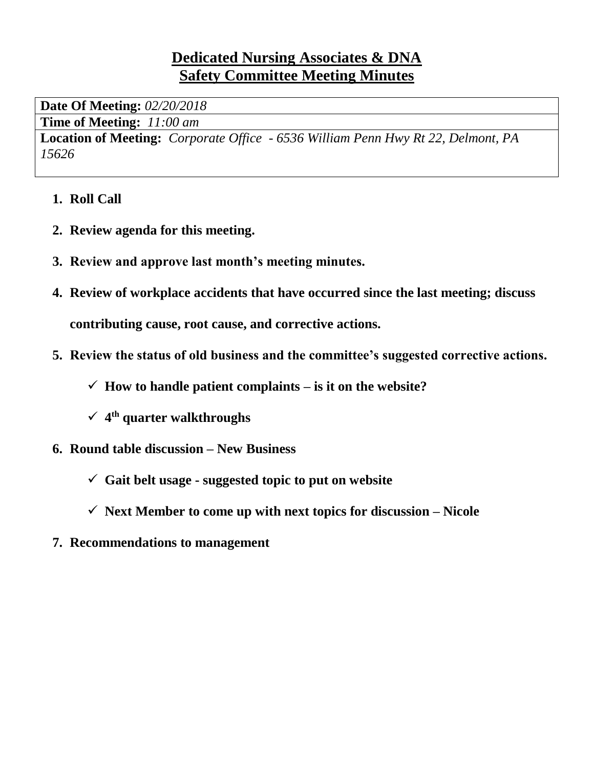# **Dedicated Nursing Associates & DNA Safety Committee Meeting Minutes**

**Date Of Meeting:** *02/20/2018*

**Time of Meeting:** *11:00 am*

**Location of Meeting:** *Corporate Office - 6536 William Penn Hwy Rt 22, Delmont, PA 15626*

- **1. Roll Call**
- **2. Review agenda for this meeting.**
- **3. Review and approve last month's meeting minutes.**
- **4. Review of workplace accidents that have occurred since the last meeting; discuss contributing cause, root cause, and corrective actions.**
- **5. Review the status of old business and the committee's suggested corrective actions.**
	- $\checkmark$  How to handle patient complaints is it on the website?
	- ✓ **4 th quarter walkthroughs**
- **6. Round table discussion – New Business**
	- ✓ **Gait belt usage - suggested topic to put on website**
	- $\checkmark$  **Next Member to come up with next topics for discussion Nicole**
- **7. Recommendations to management**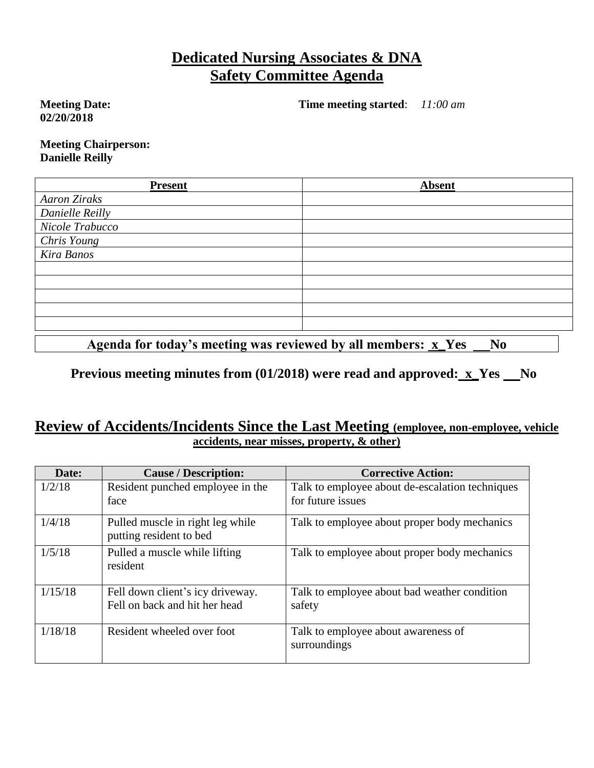## **Dedicated Nursing Associates & DNA Safety Committee Agenda**

**Meeting Date: 02/20/2018**

**Time meeting started**: *11:00 am*

**Meeting Chairperson: Danielle Reilly**

| <b>Present</b>      | <b>Absent</b> |
|---------------------|---------------|
| <b>Aaron Ziraks</b> |               |
| Danielle Reilly     |               |
| Nicole Trabucco     |               |
| Chris Young         |               |
| Kira Banos          |               |
|                     |               |
|                     |               |
|                     |               |
|                     |               |
|                     |               |
|                     |               |

Agenda for today's meeting was reviewed by all members: **x\_Yes \_\_No** 

**Previous meeting minutes from (01/2018) were read and approved: x\_Yes No**

#### **Review of Accidents/Incidents Since the Last Meeting (employee, non-employee, vehicle accidents, near misses, property, & other)**

| Date:   | <b>Cause / Description:</b>                                       | <b>Corrective Action:</b>                                            |
|---------|-------------------------------------------------------------------|----------------------------------------------------------------------|
| 1/2/18  | Resident punched employee in the<br>face                          | Talk to employee about de-escalation techniques<br>for future issues |
| 1/4/18  | Pulled muscle in right leg while<br>putting resident to bed       | Talk to employee about proper body mechanics                         |
| 1/5/18  | Pulled a muscle while lifting<br>resident                         | Talk to employee about proper body mechanics                         |
| 1/15/18 | Fell down client's icy driveway.<br>Fell on back and hit her head | Talk to employee about bad weather condition<br>safety               |
| 1/18/18 | Resident wheeled over foot                                        | Talk to employee about awareness of<br>surroundings                  |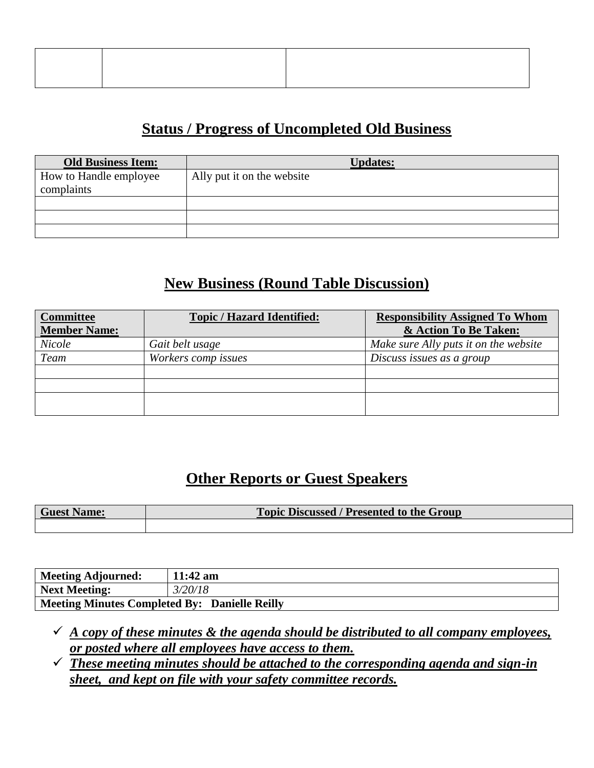# **Status / Progress of Uncompleted Old Business**

| <b>Old Business Item:</b> | <b>Updates:</b>            |
|---------------------------|----------------------------|
| How to Handle employee    | Ally put it on the website |
| complaints                |                            |
|                           |                            |
|                           |                            |
|                           |                            |

# **New Business (Round Table Discussion)**

| <b>Committee</b><br><b>Member Name:</b> | <b>Topic / Hazard Identified:</b> | <b>Responsibility Assigned To Whom</b><br>& Action To Be Taken: |
|-----------------------------------------|-----------------------------------|-----------------------------------------------------------------|
| Nicole                                  | Gait belt usage                   | Make sure Ally puts it on the website                           |
| Team                                    | Workers comp issues               | Discuss issues as a group                                       |
|                                         |                                   |                                                                 |
|                                         |                                   |                                                                 |
|                                         |                                   |                                                                 |
|                                         |                                   |                                                                 |

# **Other Reports or Guest Speakers**

| <b>Guest Name:</b> | <b>Topic Discussed / Presented to the Group</b> |
|--------------------|-------------------------------------------------|
|                    |                                                 |

| Meeting Adjourned:                            | $11:42$ am |  |
|-----------------------------------------------|------------|--|
| Next Meeting:                                 | 3/20/18    |  |
| Meeting Minutes Completed By: Danielle Reilly |            |  |

- $\checkmark$  *A copy of these minutes & the agenda should be distributed to all company employees, or posted where all employees have access to them.*
- ✓ *These meeting minutes should be attached to the corresponding agenda and sign-in sheet, and kept on file with your safety committee records.*